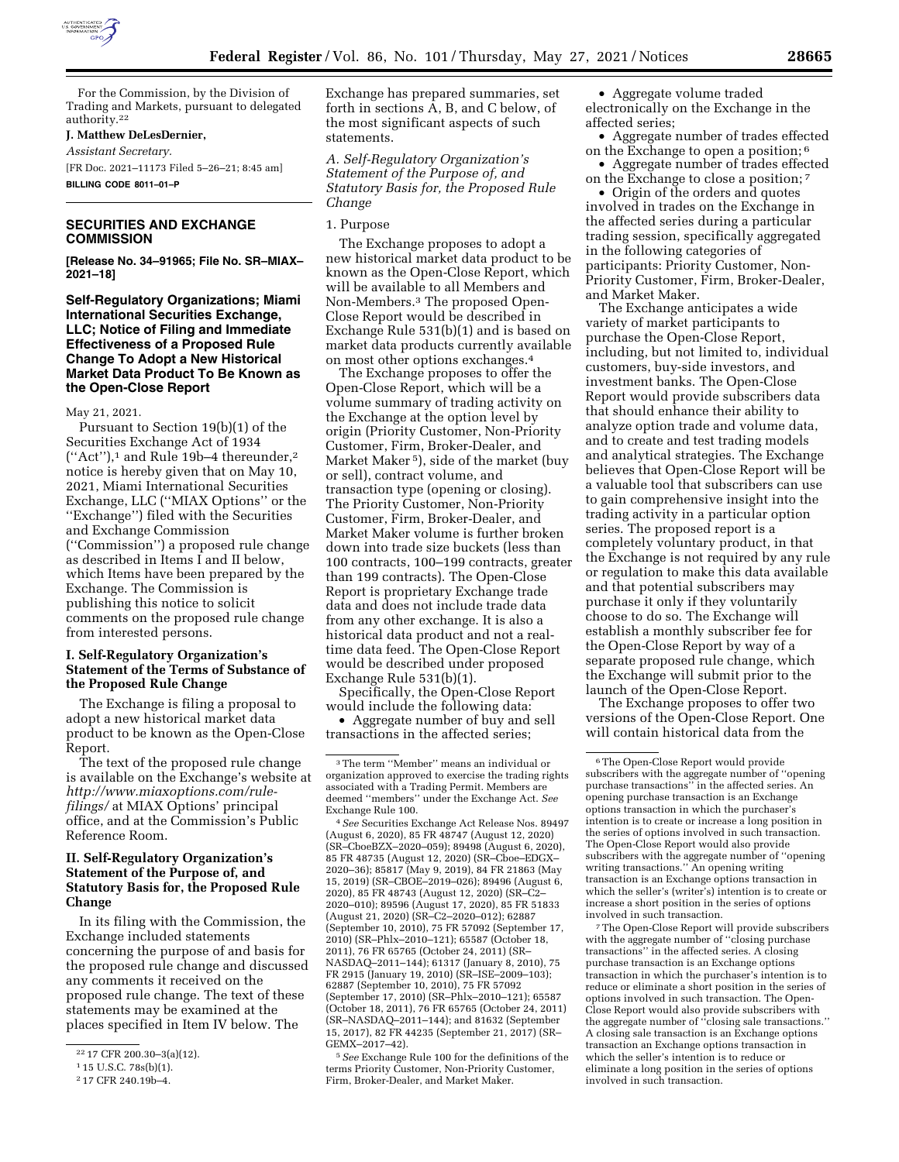

For the Commission, by the Division of Trading and Markets, pursuant to delegated authority.22

## **J. Matthew DeLesDernier,**

*Assistant Secretary.* 

[FR Doc. 2021–11173 Filed 5–26–21; 8:45 am] **BILLING CODE 8011–01–P** 

## **SECURITIES AND EXCHANGE COMMISSION**

**[Release No. 34–91965; File No. SR–MIAX– 2021–18]** 

**Self-Regulatory Organizations; Miami International Securities Exchange, LLC; Notice of Filing and Immediate Effectiveness of a Proposed Rule Change To Adopt a New Historical Market Data Product To Be Known as the Open-Close Report** 

May 21, 2021.

Pursuant to Section 19(b)(1) of the Securities Exchange Act of 1934  $("Act")$ ,<sup>1</sup> and Rule 19b-4 thereunder,<sup>2</sup> notice is hereby given that on May 10, 2021, Miami International Securities Exchange, LLC (''MIAX Options'' or the ''Exchange'') filed with the Securities and Exchange Commission (''Commission'') a proposed rule change as described in Items I and II below, which Items have been prepared by the Exchange. The Commission is publishing this notice to solicit comments on the proposed rule change from interested persons.

### **I. Self-Regulatory Organization's Statement of the Terms of Substance of the Proposed Rule Change**

The Exchange is filing a proposal to adopt a new historical market data product to be known as the Open-Close Report.

The text of the proposed rule change is available on the Exchange's website at *[http://www.miaxoptions.com/rule](http://www.miaxoptions.com/rule-filings/)[filings/](http://www.miaxoptions.com/rule-filings/)* at MIAX Options' principal office, and at the Commission's Public Reference Room.

## **II. Self-Regulatory Organization's Statement of the Purpose of, and Statutory Basis for, the Proposed Rule Change**

In its filing with the Commission, the Exchange included statements concerning the purpose of and basis for the proposed rule change and discussed any comments it received on the proposed rule change. The text of these statements may be examined at the places specified in Item IV below. The

Exchange has prepared summaries, set forth in sections A, B, and C below, of the most significant aspects of such statements.

*A. Self-Regulatory Organization's Statement of the Purpose of, and Statutory Basis for, the Proposed Rule Change* 

### 1. Purpose

The Exchange proposes to adopt a new historical market data product to be known as the Open-Close Report, which will be available to all Members and Non-Members.3 The proposed Open-Close Report would be described in Exchange Rule 531(b)(1) and is based on market data products currently available on most other options exchanges.4

The Exchange proposes to offer the Open-Close Report, which will be a volume summary of trading activity on the Exchange at the option level by origin (Priority Customer, Non-Priority Customer, Firm, Broker-Dealer, and Market Maker 5), side of the market (buy or sell), contract volume, and transaction type (opening or closing). The Priority Customer, Non-Priority Customer, Firm, Broker-Dealer, and Market Maker volume is further broken down into trade size buckets (less than 100 contracts, 100–199 contracts, greater than 199 contracts). The Open-Close Report is proprietary Exchange trade data and does not include trade data from any other exchange. It is also a historical data product and not a realtime data feed. The Open-Close Report would be described under proposed Exchange Rule 531(b)(1).

Specifically, the Open-Close Report would include the following data:

• Aggregate number of buy and sell transactions in the affected series;

4*See* Securities Exchange Act Release Nos. 89497 (August 6, 2020), 85 FR 48747 (August 12, 2020) (SR–CboeBZX–2020–059); 89498 (August 6, 2020), 85 FR 48735 (August 12, 2020) (SR–Cboe–EDGX– 2020–36); 85817 (May 9, 2019), 84 FR 21863 (May 15, 2019) (SR–CBOE–2019–026); 89496 (August 6, 2020), 85 FR 48743 (August 12, 2020) (SR–C2– 2020–010); 89596 (August 17, 2020), 85 FR 51833 (August 21, 2020) (SR–C2–2020–012); 62887 (September 10, 2010), 75 FR 57092 (September 17, 2010) (SR–Phlx–2010–121); 65587 (October 18, 2011), 76 FR 65765 (October 24, 2011) (SR– NASDAQ–2011–144); 61317 (January 8, 2010), 75 FR 2915 (January 19, 2010) (SR–ISE–2009–103); 62887 (September 10, 2010), 75 FR 57092 (September 17, 2010) (SR–Phlx–2010–121); 65587 (October 18, 2011), 76 FR 65765 (October 24, 2011) (SR–NASDAQ–2011–144); and 81632 (September 15, 2017), 82 FR 44235 (September 21, 2017) (SR– GEMX–2017–42).

5*See* Exchange Rule 100 for the definitions of the terms Priority Customer, Non-Priority Customer, Firm, Broker-Dealer, and Market Maker.

• Aggregate volume traded electronically on the Exchange in the affected series;

• Aggregate number of trades effected on the Exchange to open a position; 6

• Aggregate number of trades effected on the Exchange to close a position; 7

• Origin of the orders and quotes involved in trades on the Exchange in the affected series during a particular trading session, specifically aggregated in the following categories of participants: Priority Customer, Non-Priority Customer, Firm, Broker-Dealer, and Market Maker.

The Exchange anticipates a wide variety of market participants to purchase the Open-Close Report, including, but not limited to, individual customers, buy-side investors, and investment banks. The Open-Close Report would provide subscribers data that should enhance their ability to analyze option trade and volume data, and to create and test trading models and analytical strategies. The Exchange believes that Open-Close Report will be a valuable tool that subscribers can use to gain comprehensive insight into the trading activity in a particular option series. The proposed report is a completely voluntary product, in that the Exchange is not required by any rule or regulation to make this data available and that potential subscribers may purchase it only if they voluntarily choose to do so. The Exchange will establish a monthly subscriber fee for the Open-Close Report by way of a separate proposed rule change, which the Exchange will submit prior to the launch of the Open-Close Report.

The Exchange proposes to offer two versions of the Open-Close Report. One will contain historical data from the

7The Open-Close Report will provide subscribers with the aggregate number of ''closing purchase transactions'' in the affected series. A closing purchase transaction is an Exchange options transaction in which the purchaser's intention is to reduce or eliminate a short position in the series of options involved in such transaction. The Open-Close Report would also provide subscribers with the aggregate number of ''closing sale transactions.'' A closing sale transaction is an Exchange options transaction an Exchange options transaction in which the seller's intention is to reduce or eliminate a long position in the series of options involved in such transaction.

<sup>22</sup> 17 CFR 200.30–3(a)(12).

<sup>1</sup> 15 U.S.C. 78s(b)(1).

<sup>2</sup> 17 CFR 240.19b–4.

<sup>3</sup>The term ''Member'' means an individual or organization approved to exercise the trading rights associated with a Trading Permit. Members are deemed ''members'' under the Exchange Act. *See*  Exchange Rule 100.

<sup>6</sup>The Open-Close Report would provide subscribers with the aggregate number of ''opening purchase transactions'' in the affected series. An opening purchase transaction is an Exchange options transaction in which the purchaser's intention is to create or increase a long position in the series of options involved in such transaction. The Open-Close Report would also provide subscribers with the aggregate number of ''opening writing transactions.'' An opening writing transaction is an Exchange options transaction in which the seller's (writer's) intention is to create or increase a short position in the series of options involved in such transaction.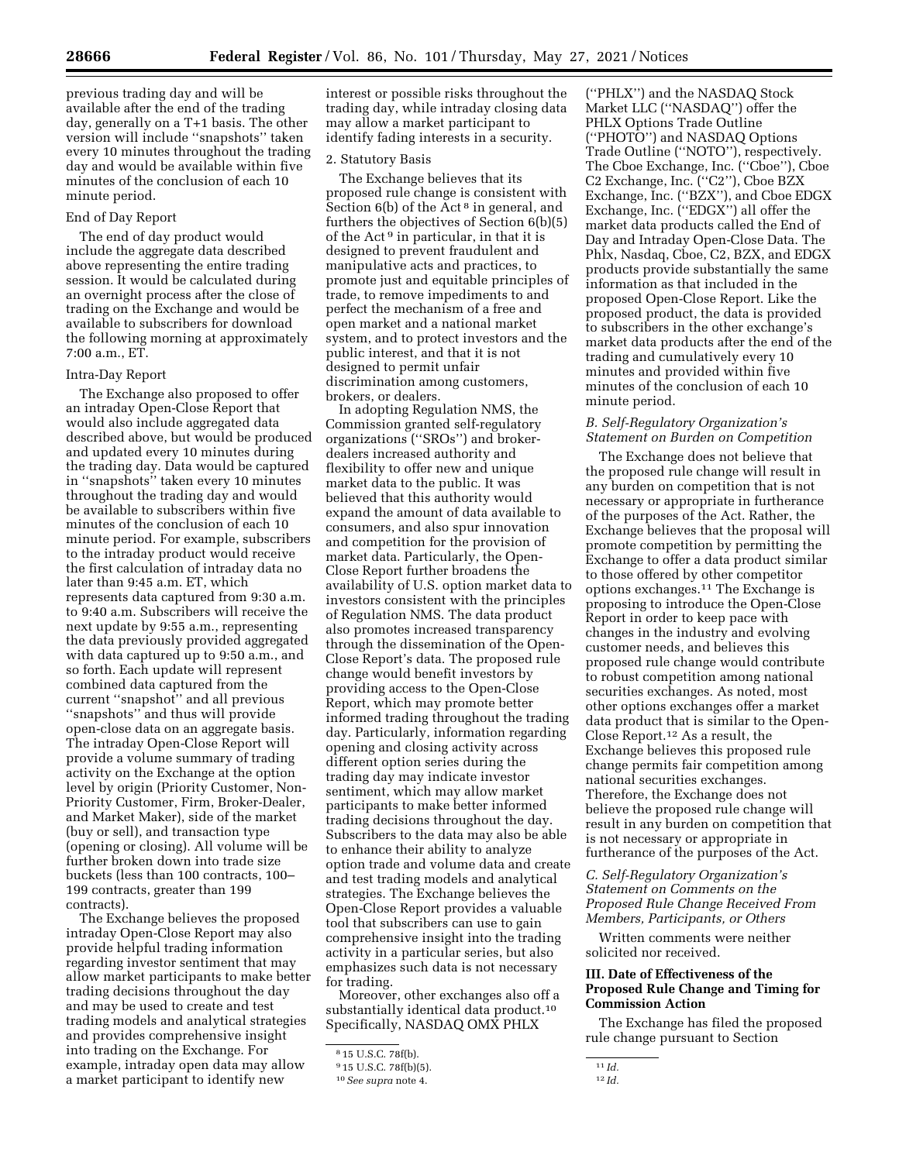previous trading day and will be available after the end of the trading day, generally on a T+1 basis. The other version will include ''snapshots'' taken every 10 minutes throughout the trading day and would be available within five minutes of the conclusion of each 10 minute period.

### End of Day Report

The end of day product would include the aggregate data described above representing the entire trading session. It would be calculated during an overnight process after the close of trading on the Exchange and would be available to subscribers for download the following morning at approximately 7:00 a.m., ET.

#### Intra-Day Report

The Exchange also proposed to offer an intraday Open-Close Report that would also include aggregated data described above, but would be produced and updated every 10 minutes during the trading day. Data would be captured in ''snapshots'' taken every 10 minutes throughout the trading day and would be available to subscribers within five minutes of the conclusion of each 10 minute period. For example, subscribers to the intraday product would receive the first calculation of intraday data no later than 9:45 a.m. ET, which represents data captured from 9:30 a.m. to 9:40 a.m. Subscribers will receive the next update by 9:55 a.m., representing the data previously provided aggregated with data captured up to 9:50 a.m., and so forth. Each update will represent combined data captured from the current ''snapshot'' and all previous ''snapshots'' and thus will provide open-close data on an aggregate basis. The intraday Open-Close Report will provide a volume summary of trading activity on the Exchange at the option level by origin (Priority Customer, Non-Priority Customer, Firm, Broker-Dealer, and Market Maker), side of the market (buy or sell), and transaction type (opening or closing). All volume will be further broken down into trade size buckets (less than 100 contracts, 100– 199 contracts, greater than 199 contracts).

The Exchange believes the proposed intraday Open-Close Report may also provide helpful trading information regarding investor sentiment that may allow market participants to make better trading decisions throughout the day and may be used to create and test trading models and analytical strategies and provides comprehensive insight into trading on the Exchange. For example, intraday open data may allow a market participant to identify new

interest or possible risks throughout the trading day, while intraday closing data may allow a market participant to identify fading interests in a security.

#### 2. Statutory Basis

The Exchange believes that its proposed rule change is consistent with Section 6(b) of the Act<sup>8</sup> in general, and furthers the objectives of Section 6(b)(5) of the Act 9 in particular, in that it is designed to prevent fraudulent and manipulative acts and practices, to promote just and equitable principles of trade, to remove impediments to and perfect the mechanism of a free and open market and a national market system, and to protect investors and the public interest, and that it is not designed to permit unfair discrimination among customers, brokers, or dealers.

In adopting Regulation NMS, the Commission granted self-regulatory organizations (''SROs'') and brokerdealers increased authority and flexibility to offer new and unique market data to the public. It was believed that this authority would expand the amount of data available to consumers, and also spur innovation and competition for the provision of market data. Particularly, the Open-Close Report further broadens the availability of U.S. option market data to investors consistent with the principles of Regulation NMS. The data product also promotes increased transparency through the dissemination of the Open-Close Report's data. The proposed rule change would benefit investors by providing access to the Open-Close Report, which may promote better informed trading throughout the trading day. Particularly, information regarding opening and closing activity across different option series during the trading day may indicate investor sentiment, which may allow market participants to make better informed trading decisions throughout the day. Subscribers to the data may also be able to enhance their ability to analyze option trade and volume data and create and test trading models and analytical strategies. The Exchange believes the Open-Close Report provides a valuable tool that subscribers can use to gain comprehensive insight into the trading activity in a particular series, but also emphasizes such data is not necessary for trading.

Moreover, other exchanges also off a substantially identical data product.<sup>10</sup> Specifically, NASDAQ OMX PHLX

(''PHLX'') and the NASDAQ Stock Market LLC (''NASDAQ'') offer the PHLX Options Trade Outline (''PHOTO'') and NASDAQ Options Trade Outline (''NOTO''), respectively. The Cboe Exchange, Inc. (''Cboe''), Cboe C2 Exchange, Inc. (''C2''), Cboe BZX Exchange, Inc. (''BZX''), and Cboe EDGX Exchange, Inc. (''EDGX'') all offer the market data products called the End of Day and Intraday Open-Close Data. The Phlx, Nasdaq, Cboe, C2, BZX, and EDGX products provide substantially the same information as that included in the proposed Open-Close Report. Like the proposed product, the data is provided to subscribers in the other exchange's market data products after the end of the trading and cumulatively every 10 minutes and provided within five minutes of the conclusion of each 10 minute period.

### *B. Self-Regulatory Organization's Statement on Burden on Competition*

The Exchange does not believe that the proposed rule change will result in any burden on competition that is not necessary or appropriate in furtherance of the purposes of the Act. Rather, the Exchange believes that the proposal will promote competition by permitting the Exchange to offer a data product similar to those offered by other competitor options exchanges.11 The Exchange is proposing to introduce the Open-Close Report in order to keep pace with changes in the industry and evolving customer needs, and believes this proposed rule change would contribute to robust competition among national securities exchanges. As noted, most other options exchanges offer a market data product that is similar to the Open-Close Report.12 As a result, the Exchange believes this proposed rule change permits fair competition among national securities exchanges. Therefore, the Exchange does not believe the proposed rule change will result in any burden on competition that is not necessary or appropriate in furtherance of the purposes of the Act.

## *C. Self-Regulatory Organization's Statement on Comments on the Proposed Rule Change Received From Members, Participants, or Others*

Written comments were neither solicited nor received.

### **III. Date of Effectiveness of the Proposed Rule Change and Timing for Commission Action**

The Exchange has filed the proposed rule change pursuant to Section

<sup>8</sup> 15 U.S.C. 78f(b).

<sup>9</sup> 15 U.S.C. 78f(b)(5).

<sup>10</sup>*See supra* note 4.

<sup>11</sup> *Id.* 

<sup>12</sup> *Id.*